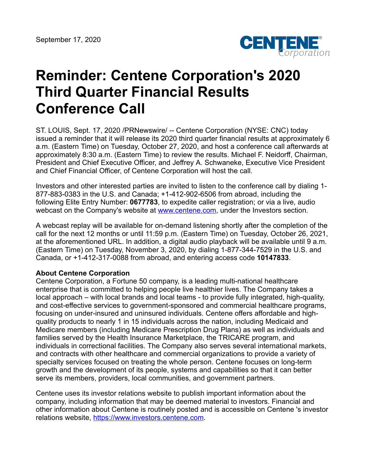

## **Reminder: Centene Corporation's 2020 Third Quarter Financial Results Conference Call**

ST. LOUIS, Sept. 17, 2020 /PRNewswire/ -- Centene Corporation (NYSE: CNC) today issued a reminder that it will release its 2020 third quarter financial results at approximately 6 a.m. (Eastern Time) on Tuesday, October 27, 2020, and host a conference call afterwards at approximately 8:30 a.m. (Eastern Time) to review the results. Michael F. Neidorff, Chairman, President and Chief Executive Officer, and Jeffrey A. Schwaneke, Executive Vice President and Chief Financial Officer, of Centene Corporation will host the call.

Investors and other interested parties are invited to listen to the conference call by dialing 1- 877-883-0383 in the U.S. and Canada; +1-412-902-6506 from abroad, including the following Elite Entry Number: **0677783**, to expedite caller registration; or via a live, audio webcast on the Company's website at [www.centene.com,](http://www.centene.com/) under the Investors section.

A webcast replay will be available for on-demand listening shortly after the completion of the call for the next 12 months or until 11:59 p.m. (Eastern Time) on Tuesday, October 26, 2021, at the aforementioned URL. In addition, a digital audio playback will be available until 9 a.m. (Eastern Time) on Tuesday, November 3, 2020, by dialing 1-877-344-7529 in the U.S. and Canada, or +1-412-317-0088 from abroad, and entering access code **10147833**.

## **About Centene Corporation**

Centene Corporation, a Fortune 50 company, is a leading multi-national healthcare enterprise that is committed to helping people live healthier lives. The Company takes a local approach – with local brands and local teams - to provide fully integrated, high-quality, and cost-effective services to government-sponsored and commercial healthcare programs, focusing on under-insured and uninsured individuals. Centene offers affordable and highquality products to nearly 1 in 15 individuals across the nation, including Medicaid and Medicare members (including Medicare Prescription Drug Plans) as well as individuals and families served by the Health Insurance Marketplace, the TRICARE program, and individuals in correctional facilities. The Company also serves several international markets, and contracts with other healthcare and commercial organizations to provide a variety of specialty services focused on treating the whole person. Centene focuses on long-term growth and the development of its people, systems and capabilities so that it can better serve its members, providers, local communities, and government partners.

Centene uses its investor relations website to publish important information about the company, including information that may be deemed material to investors. Financial and other information about Centene is routinely posted and is accessible on Centene 's investor relations website, [https://www.investors.centene.com](https://investors.centene.com/).